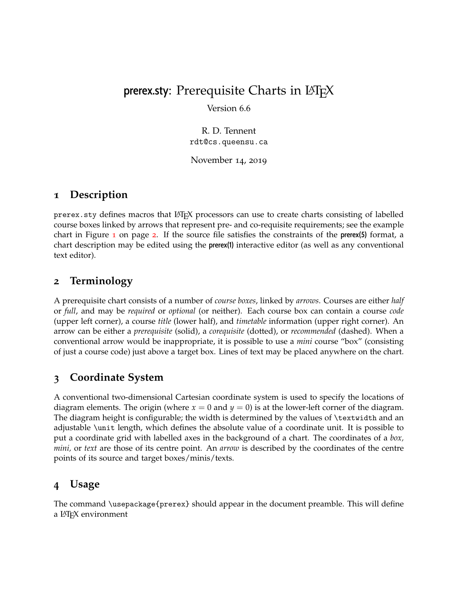# prerex.sty: Prerequisite Charts in  $\text{LipX}$

Version 6.6

R. D. Tennent rdt@cs.queensu.ca

November 14, 2019

### **1 Description**

prerex.sty defines macros that LATEX processors can use to create charts consisting of labelled course boxes linked by arrows that represent pre- and co-requisite requirements; see the example chart in Figure [1](#page-1-0) on page [2](#page-1-0). If the source file satisfies the constraints of the prerex(5) format, a chart description may be edited using the prerex(1) interactive editor (as well as any conventional text editor).

# **2 Terminology**

A prerequisite chart consists of a number of *course boxes*, linked by *arrows*. Courses are either *half* or *full*, and may be *required* or *optional* (or neither). Each course box can contain a course *code* (upper left corner), a course *title* (lower half), and *timetable* information (upper right corner). An arrow can be either a *prerequisite* (solid), a *corequisite* (dotted), or *recommended* (dashed). When a conventional arrow would be inappropriate, it is possible to use a *mini* course "box" (consisting of just a course code) just above a target box. Lines of text may be placed anywhere on the chart.

# **3 Coordinate System**

A conventional two-dimensional Cartesian coordinate system is used to specify the locations of diagram elements. The origin (where  $x = 0$  and  $y = 0$ ) is at the lower-left corner of the diagram. The diagram height is configurable; the width is determined by the values of \textwidth and an adjustable \unit length, which defines the absolute value of a coordinate unit. It is possible to put a coordinate grid with labelled axes in the background of a chart. The coordinates of a *box, mini,* or *text* are those of its centre point. An *arrow* is described by the coordinates of the centre points of its source and target boxes/minis/texts.

# **4 Usage**

The command \usepackage{prerex} should appear in the document preamble. This will define a LATEX environment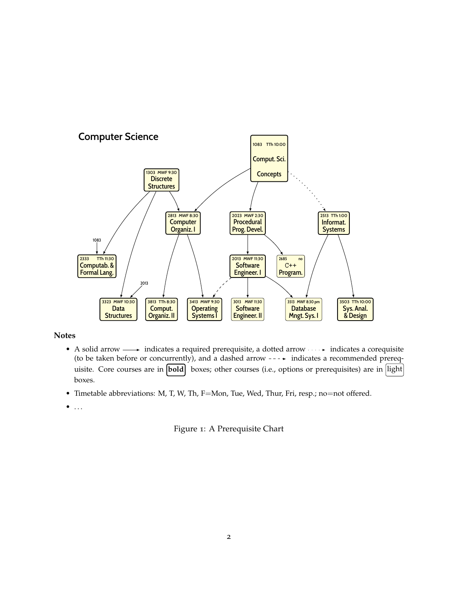

#### **Notes**

• A solid arrow  $\longrightarrow$  indicates a required prerequisite, a dotted arrow  $\cdots$  indicates a corequisite (to be taken before or concurrently), and a dashed arrow  $---$  indicates a recommended prerequisite. Core courses are in **bold** boxes; other courses (i.e., options or prerequisites) are in light boxes.

• Timetable abbreviations: M, T, W, Th, F=Mon, Tue, Wed, Thur, Fri, resp.; no=not offered.

 $\bullet$  ...

#### <span id="page-1-0"></span>Figure 1: A Prerequisite Chart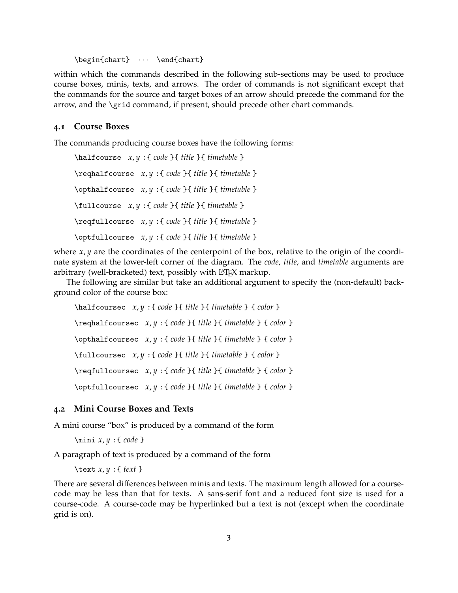\begin{chart}  $\cdots$  \end{chart}

within which the commands described in the following sub-sections may be used to produce course boxes, minis, texts, and arrows. The order of commands is not significant except that the commands for the source and target boxes of an arrow should precede the command for the arrow, and the \grid command, if present, should precede other chart commands.

#### **4.1 Course Boxes**

The commands producing course boxes have the following forms:

```
\halfcourse x, y :{ code }{ title }{ timetable }
\reqhalfcourse x, y :{ code }{ title }{ timetable }
\opthalfcourse x, y :{ code }{ title }{ timetable }
\fullcourse x, y :{ code }{ title }{ timetable }
\reqfullcourse x, y :{ code }{ title }{ timetable }
\optfullcourse x, y :{ code }{ title }{ timetable }
```
where *x*, *y* are the coordinates of the centerpoint of the box, relative to the origin of the coordinate system at the lower-left corner of the diagram. The *code*, *title*, and *timetable* arguments are arbitrary (well-bracketed) text, possibly with LATEX markup.

The following are similar but take an additional argument to specify the (non-default) background color of the course box:

\halfcoursec *x*, *y* :{ *code* }{ *title* }{ *timetable* } { *color* } \reqhalfcoursec *x*, *y* :{ *code* }{ *title* }{ *timetable* } { *color* } \opthalfcoursec *x*, *y* :{ *code* }{ *title* }{ *timetable* } { *color* } \fullcoursec *x*, *y* :{ *code* }{ *title* }{ *timetable* } { *color* } \reqfullcoursec *x*, *y* :{ *code* }{ *title* }{ *timetable* } { *color* } \optfullcoursec *x*, *y* :{ *code* }{ *title* }{ *timetable* } { *color* }

#### **4.2 Mini Course Boxes and Texts**

A mini course "box" is produced by a command of the form

```
\mini x, y :{ code }
```
A paragraph of text is produced by a command of the form

\text *x*, *y* :{ *text* }

There are several differences between minis and texts. The maximum length allowed for a coursecode may be less than that for texts. A sans-serif font and a reduced font size is used for a course-code. A course-code may be hyperlinked but a text is not (except when the coordinate grid is on).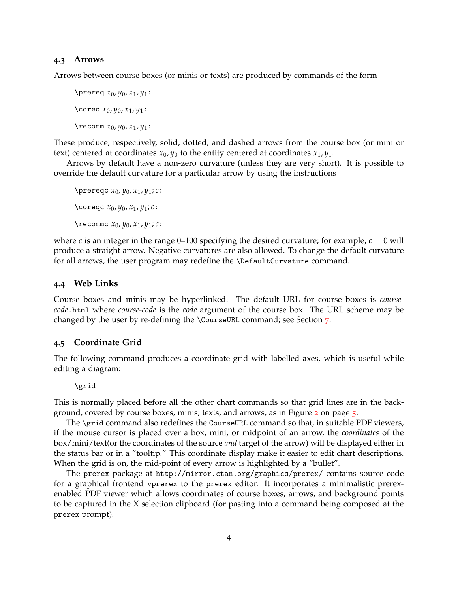#### **4.3 Arrows**

Arrows between course boxes (or minis or texts) are produced by commands of the form

\prereq *x*0, *y*0, *x*1, *y*1: \coreq *x*0, *y*0, *x*1, *y*1: \recomm *x*0, *y*0, *x*1, *y*1:

These produce, respectively, solid, dotted, and dashed arrows from the course box (or mini or text) centered at coordinates  $x_0$ ,  $y_0$  to the entity centered at coordinates  $x_1$ ,  $y_1$ .

Arrows by default have a non-zero curvature (unless they are very short). It is possible to override the default curvature for a particular arrow by using the instructions

\prereqc *x*0, *y*0, *x*1, *y*1; *c*: \coreqc *x*0, *y*0, *x*1, *y*1; *c*: \recommc *x*0, *y*0, *x*1, *y*1; *c*:

where *c* is an integer in the range 0–100 specifying the desired curvature; for example,  $c = 0$  will produce a straight arrow. Negative curvatures are also allowed. To change the default curvature for all arrows, the user program may redefine the \DefaultCurvature command.

#### **4.4 Web Links**

Course boxes and minis may be hyperlinked. The default URL for course boxes is *coursecode*.html where *course-code* is the *code* argument of the course box. The URL scheme may be changed by the user by re-defining the \CourseURL command; see Section [7](#page-5-0).

#### **4.5 Coordinate Grid**

The following command produces a coordinate grid with labelled axes, which is useful while editing a diagram:

\grid

This is normally placed before all the other chart commands so that grid lines are in the background, covered by course boxes, minis, texts, and arrows, as in Figure [2](#page-4-0) on page [5](#page-4-0).

The \grid command also redefines the CourseURL command so that, in suitable PDF viewers, if the mouse cursor is placed over a box, mini, or midpoint of an arrow, the *coordinates* of the box/mini/text(or the coordinates of the source *and* target of the arrow) will be displayed either in the status bar or in a "tooltip." This coordinate display make it easier to edit chart descriptions. When the grid is on, the mid-point of every arrow is highlighted by a "bullet".

The prerex package at <http://mirror.ctan.org/graphics/prerex/> contains source code for a graphical frontend vprerex to the prerex editor. It incorporates a minimalistic prerexenabled PDF viewer which allows coordinates of course boxes, arrows, and background points to be captured in the X selection clipboard (for pasting into a command being composed at the prerex prompt).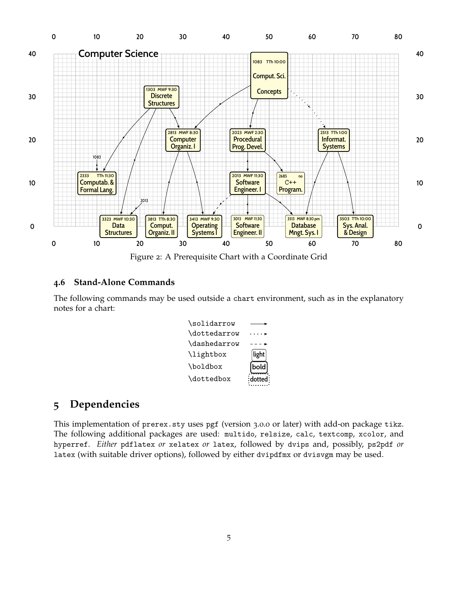

<span id="page-4-0"></span>Figure 2: A Prerequisite Chart with a Coordinate Grid

#### **4.6 Stand-Alone Commands**

The following commands may be used outside a chart environment, such as in the explanatory notes for a chart:



### **5 Dependencies**

This implementation of prerex.sty uses pgf (version 3.0.0 or later) with add-on package tikz. The following additional packages are used: multido, relsize, calc, textcomp, xcolor, and hyperref. *Either* pdflatex *or* xelatex *or* latex, followed by dvips and, possibly, ps2pdf *or* latex (with suitable driver options), followed by either dvipdfmx or dvisvgm may be used.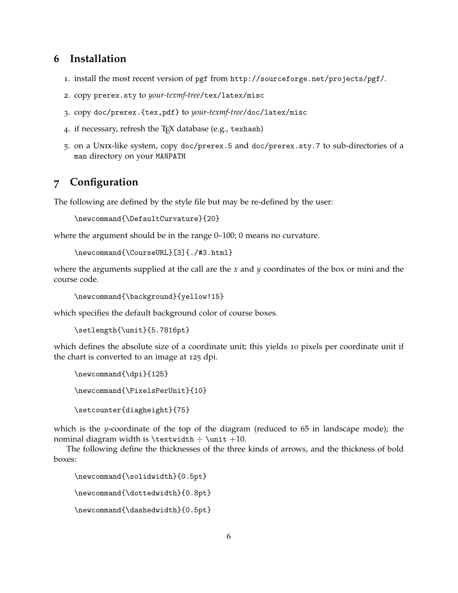### **6 Installation**

- 1. install the most recent version of pgf from <http://sourceforge.net/projects/pgf/>.
- 2. copy prerex.sty to *your-texmf-tree*/tex/latex/misc
- 3. copy doc/prerex.{tex,pdf} to *your-texmf-tree*/doc/latex/misc
- 4. if necessary, refresh the TEX database (e.g., texhash)
- 5. on a Unix-like system, copy doc/prerex.5 and doc/prerex.sty.7 to sub-directories of a man directory on your MANPATH

# <span id="page-5-0"></span>**7 Configuration**

The following are defined by the style file but may be re-defined by the user:

```
\newcommand{\DefaultCurvature}{20}
```
where the argument should be in the range 0–100; 0 means no curvature.

```
\newcommand{\CourseURL}[3]{./#3.html}
```
where the arguments supplied at the call are the *x* and *y* coordinates of the box or mini and the course code.

\newcommand{\background}{yellow!15}

which specifies the default background color of course boxes.

```
\setlength{\unit}{5.7816pt}
```
which defines the absolute size of a coordinate unit; this yields 10 pixels per coordinate unit if the chart is converted to an image at 125 dpi.

```
\newcommand{\dpi}{125}
\newcommand{\PixelsPerUnit}{10}
\setcounter{diagheight}{75}
```
which is the *y*-coordinate of the top of the diagram (reduced to 65 in landscape mode); the nominal diagram width is  $\text{t} + \text{t} + 10$ .

The following define the thicknesses of the three kinds of arrows, and the thickness of bold boxes:

```
\newcommand{\solidwidth}{0.5pt}
\newcommand{\dottedwidth}{0.8pt}
\newcommand{\dashedwidth}{0.5pt}
```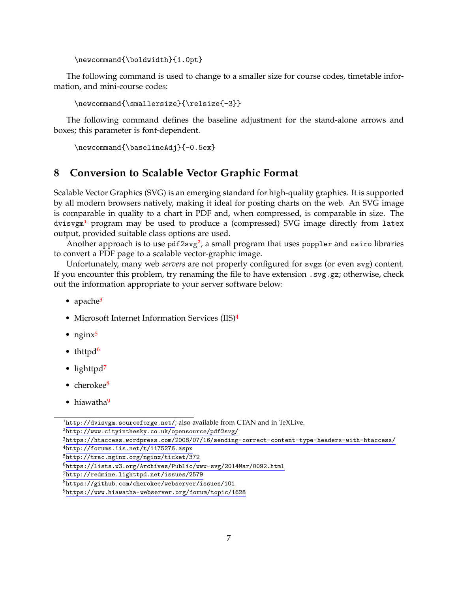```
\newcommand{\boldwidth}{1.0pt}
```
The following command is used to change to a smaller size for course codes, timetable information, and mini-course codes:

\newcommand{\smallersize}{\relsize{-3}}

The following command defines the baseline adjustment for the stand-alone arrows and boxes; this parameter is font-dependent.

```
\newcommand{\baselineAdj}{-0.5ex}
```
### **8 Conversion to Scalable Vector Graphic Format**

Scalable Vector Graphics (SVG) is an emerging standard for high-quality graphics. It is supported by all modern browsers natively, making it ideal for posting charts on the web. An SVG image is comparable in quality to a chart in PDF and, when compressed, is comparable in size. The  $divisvgm<sup>1</sup>$  $divisvgm<sup>1</sup>$  $divisvgm<sup>1</sup>$  program may be used to produce a (compressed) SVG image directly from latex output, provided suitable class options are used.

Another approach is to use pdf[2](#page-6-1)svg<sup>2</sup>, a small program that uses poppler and cairo libraries to convert a PDF page to a scalable vector-graphic image.

Unfortunately, many web *servers* are not properly configured for svgz (or even svg) content. If you encounter this problem, try renaming the file to have extension  $\text{I}$  svg.gz; otherwise, check out the information appropriate to your server software below:

- apache<sup>[3](#page-6-2)</sup>
- Microsoft Internet Information Services (IIS)<sup>[4](#page-6-3)</sup>
- ngin $x^5$  $x^5$
- thttpd<sup>[6](#page-6-5)</sup>
- lighttpd<sup>[7](#page-6-6)</sup>
- cherokee $8$
- hiawatha<sup>[9](#page-6-8)</sup>

<span id="page-6-0"></span><sup>1</sup><http://dvisvgm.sourceforge.net/>; also available from CTAN and in TeXLive.

<span id="page-6-1"></span><sup>2</sup><http://www.cityinthesky.co.uk/opensource/pdf2svg/>

<span id="page-6-3"></span><span id="page-6-2"></span><sup>3</sup><https://htaccess.wordpress.com/2008/07/16/sending-correct-content-type-headers-with-htaccess/> <sup>4</sup><http://forums.iis.net/t/1175276.aspx>

<span id="page-6-4"></span><sup>5</sup><http://trac.nginx.org/nginx/ticket/372>

<span id="page-6-5"></span><sup>6</sup><https://lists.w3.org/Archives/Public/www-svg/2014Mar/0092.html>

<span id="page-6-6"></span><sup>7</sup><http://redmine.lighttpd.net/issues/2579>

<span id="page-6-7"></span><sup>8</sup><https://github.com/cherokee/webserver/issues/101>

<span id="page-6-8"></span><sup>9</sup><https://www.hiawatha-webserver.org/forum/topic/1628>